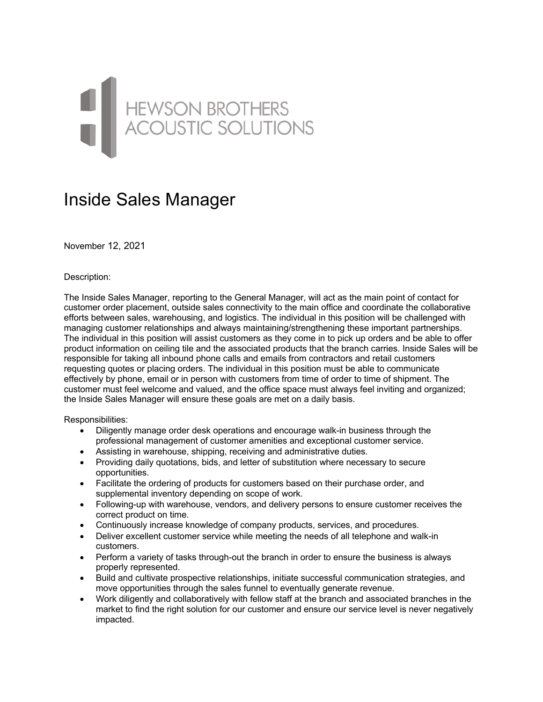## HEWSON BROTHERS

## Inside Sales Manager

November 12, 2021

Description:

The Inside Sales Manager, reporting to the General Manager, will act as the main point of contact for customer order placement, outside sales connectivity to the main office and coordinate the collaborative efforts between sales, warehousing, and logistics. The individual in this position will be challenged with managing customer relationships and always maintaining/strengthening these important partnerships. The individual in this position will assist customers as they come in to pick up orders and be able to offer product information on ceiling tile and the associated products that the branch carries. Inside Sales will be responsible for taking all inbound phone calls and emails from contractors and retail customers requesting quotes or placing orders. The individual in this position must be able to communicate effectively by phone, email or in person with customers from time of order to time of shipment. The customer must feel welcome and valued, and the office space must always feel inviting and organized; the Inside Sales Manager will ensure these goals are met on a daily basis.

Responsibilities:

- Diligently manage order desk operations and encourage walk-in business through the professional management of customer amenities and exceptional customer service.
- Assisting in warehouse, shipping, receiving and administrative duties.
- Providing daily quotations, bids, and letter of substitution where necessary to secure opportunities.
- Facilitate the ordering of products for customers based on their purchase order, and supplemental inventory depending on scope of work.
- Following-up with warehouse, vendors, and delivery persons to ensure customer receives the correct product on time.
- Continuously increase knowledge of company products, services, and procedures.
- Deliver excellent customer service while meeting the needs of all telephone and walk-in customers.
- Perform a variety of tasks through-out the branch in order to ensure the business is always properly represented.
- Build and cultivate prospective relationships, initiate successful communication strategies, and move opportunities through the sales funnel to eventually generate revenue.
- Work diligently and collaboratively with fellow staff at the branch and associated branches in the market to find the right solution for our customer and ensure our service level is never negatively impacted.